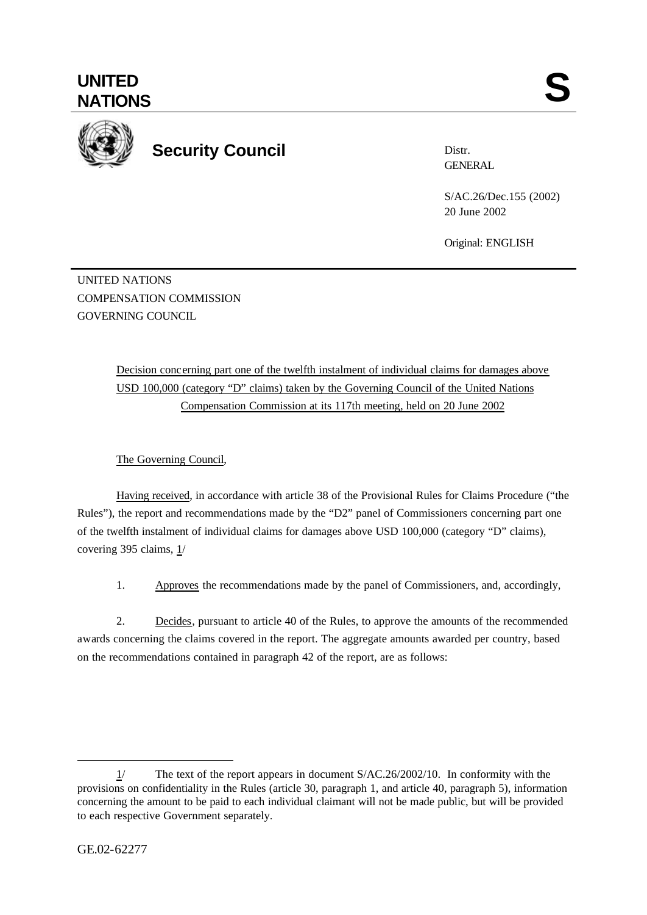## **UNITED** UNITED SANTIONS



## **Security Council**

Distr. GENERAL

S/AC.26/Dec.155 (2002) 20 June 2002

Original: ENGLISH

UNITED NATIONS COMPENSATION COMMISSION GOVERNING COUNCIL

> Decision concerning part one of the twelfth instalment of individual claims for damages above USD 100,000 (category "D" claims) taken by the Governing Council of the United Nations Compensation Commission at its 117th meeting, held on 20 June 2002

## The Governing Council,

Having received, in accordance with article 38 of the Provisional Rules for Claims Procedure ("the Rules"), the report and recommendations made by the "D2" panel of Commissioners concerning part one of the twelfth instalment of individual claims for damages above USD 100,000 (category "D" claims), covering 395 claims, 1/

1. Approves the recommendations made by the panel of Commissioners, and, accordingly,

2. Decides, pursuant to article 40 of the Rules, to approve the amounts of the recommended awards concerning the claims covered in the report. The aggregate amounts awarded per country, based on the recommendations contained in paragraph 42 of the report, are as follows:

l

<sup>1/</sup> The text of the report appears in document S/AC.26/2002/10. In conformity with the provisions on confidentiality in the Rules (article 30, paragraph 1, and article 40, paragraph 5), information concerning the amount to be paid to each individual claimant will not be made public, but will be provided to each respective Government separately.